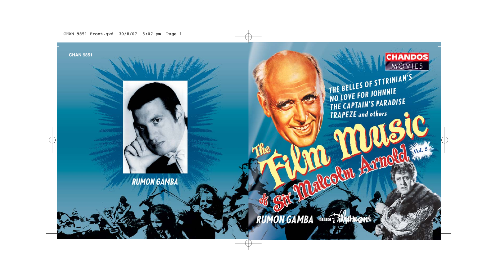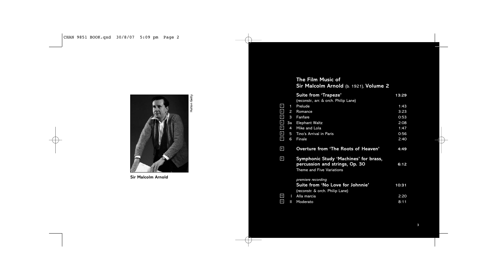

**Sir Malcolm Arnold**

# **The Film Music of Sir Malcolm Arnold** (b. 1921), **Volume 2 Suite from 'Trapeze' 13:29** (reconstr., arr. & orch. Philip Lane)  $1$  1 Prelude 1:43  $2$  Romance 3:23  $3$  Fanfare 0:53  $4$  3a Elephant Waltz 2:08  $\frac{5}{1}$  4 Mike and Lola 1:47  $\frac{6}{5}$  5 Tino's Arrival in Paris 20156 <sup>7</sup> 6 Finale 2:40 **Overture from 'The Roots of Heaven' 4:49 Symphonic Study 'Machines' for brass, percussion and strings, Op. 30 6:12** .<br>Theme and Five Variations *premiere recording* **Suite from 'No Love for Johnnie' 10:31** (reconstr. & orch. Philip Lane) I Alla marcia 2:20 <sup>11</sup> II Moderato 8:11 10 9 8

3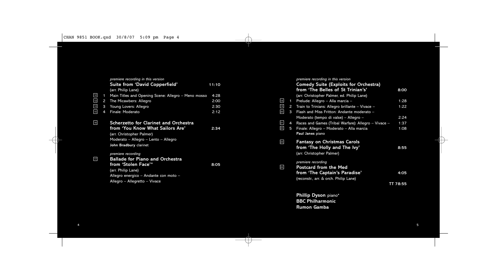|                 |   | premiere recording in this version                  |       |
|-----------------|---|-----------------------------------------------------|-------|
|                 |   | Suite from 'David Copperfield'                      | 11:10 |
|                 |   | (arr. Philip Lane)                                  |       |
|                 | 1 | Main Titles and Opening Scene: Allegro – Meno mosso | 4:28  |
| $\frac{12}{13}$ | 2 | The Micawbers: Allegro                              | 2:00  |
| $\frac{14}{15}$ | 3 | Young Lovers: Allegro                               | 2:30  |
|                 | 4 | Finale: Moderato                                    | 2:12  |
|                 |   |                                                     |       |
| 16              |   | <b>Scherzetto for Clarinet and Orchestra</b>        |       |
|                 |   | from 'You Know What Sailors Are'                    | 2:34  |
|                 |   | (arr. Christopher Palmer)                           |       |
|                 |   | Moderato - Allegro - Lento - Allegro                |       |
|                 |   | John Bradbury clarinet                              |       |
|                 |   |                                                     |       |
|                 |   | premiere recording                                  |       |
| 17              |   | <b>Ballade for Piano and Orchestra</b>              |       |
|                 |   | from 'Stolen Face'*                                 | 8:05  |
|                 |   | (arr. Philip Lane)                                  |       |
|                 |   | Allegro energico - Andante con moto -               |       |
|                 |   | Allegro - Allegretto - Vivace                       |       |
|                 |   |                                                     |       |

 $\frac{4}{3}$ 

 $\longrightarrow$ 

 $\bigcap$ 

|                 |                | premiere recording in this version<br><b>Comedy Suite (Exploits for Orchestra)</b> |          |
|-----------------|----------------|------------------------------------------------------------------------------------|----------|
|                 |                | from 'The Belles of St Trinian's'                                                  | 8:00     |
|                 |                | (arr. Christopher Palmer, ed. Philip Lane)                                         |          |
| 18              | 1              | Prelude: Allegro - Alla marcia -                                                   | 1:28     |
| 19              | $\mathbf{2}$   | Train to Trinians: Allegro brillante - Vivace -                                    | 1:22     |
| 20              | 3              | Flash and Miss Fritton: Andante moderato -                                         |          |
|                 |                | Moderato (tempo di valse) – Allegro –                                              | 2:24     |
| 21              | $\overline{4}$ | Races and Games (Tribal Warfare): Allegro - Vivace -                               | 1:37     |
| 22              | 5              | Finale: Allegro - Moderato - Alla marcia                                           | 1:08     |
|                 |                | Paul Janes piano                                                                   |          |
| 23              |                | <b>Fantasy on Christmas Carols</b>                                                 |          |
|                 |                | from 'The Holly and The Ivy'                                                       | 8:55     |
|                 |                | (arr. Christopher Palmer)                                                          |          |
|                 |                | premiere recording                                                                 |          |
| $\overline{24}$ |                | <b>Postcard from the Med</b>                                                       |          |
|                 |                | from 'The Captain's Paradise'                                                      | 4:05     |
|                 |                | (reconstr., arr. & orch. Philip Lane)                                              |          |
|                 |                |                                                                                    | TT 78:55 |
|                 |                |                                                                                    |          |
|                 |                | Phillip Dyson piano*                                                               |          |
|                 |                | <b>BBC Philharmonic</b>                                                            |          |
|                 |                | <b>Rumon Gamba</b>                                                                 |          |
|                 |                |                                                                                    |          |
|                 |                |                                                                                    |          |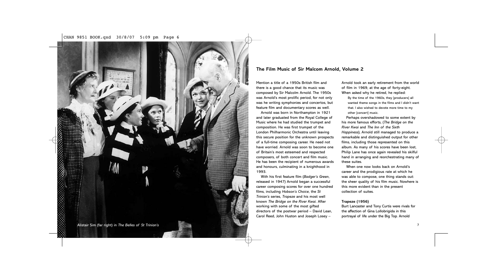

# **The Film Music of Sir Malcom Arnold, Volume 2**

Mention a title of a 1950s British film and there is a good chance that its music was composed by Sir Malcolm Arnold. The 1950s was Arnold's most prolific period, for not only was he writing symphonies and concertos, but feature film and documentary scores as well.

Arnold was born in Northampton in 1921 and later graduated from the Royal College of Music where he had studied the trumpet and composition. He was first trumpet of the London Philharmonic Orchestra until leaving this secure position for the unknown prospects of a full-time composing career. He need not have worried. Arnold was soon to become one of Britain's most esteemed and respected composers, of both concert and film music. He has been the recipient of numerous awards and honours, culminating in a knighthood in 1993.

With his first feature film (*Badger's Green*, released in 1947) Arnold began a successful career composing scores for over one hundred films, including *Hobson's Choice*, the *St Trinian's* series, *Trapeze* and his most well known *The Bridge on the River Kwai*. After working with some of the most gifted directors of the postwar period – David Lean, Carol Reed, John Huston and Joseph Losey –

Arnold took an early retirement from the world of film in 1969, at the age of forty-eight. When asked why he retired, he replied:

By the time of the 1960s, they [producers] all wanted theme songs in the films and I didn't want that. I also wished to devote more time to my other [concert] music.

Perhaps overshadowed to some extent by his more famous efforts, (*The Bridge on the River Kwai* and *The Inn of the Sixth Happiness*), Arnold still managed to produce a remarkable and distinguished output for other films, including those represented on this album. As many of his scores have been lost, Philip Lane has once again revealed his skilful hand in arranging and reorchestrating many of these suites.

When one now looks back on Arnold's career and the prodigious rate at which he was able to compose, one thing stands out: the sheer quality of his film music. Nowhere is this more evident than in the present collection of suites.

#### **Trapeze (1956)**

Burt Lancaster and Tony Curtis were rivals for the affection of Gina Lollobrigida in this portrayal of life under the Big Top. Arnold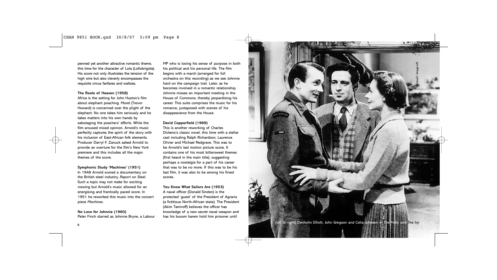penned yet another attractive romantic theme, this time for the character of Lola (Lollobrigida). His score not only illustrates the tension of the high wire but also cleverly encompasses the requisite circus fanfares and waltzes.

#### **The Roots of Heaven (1958)**

Africa is the setting for John Huston's film about elephant poaching. Morel (Trevor Howard) is concerned over the plight of the elephant. No one takes him seriously and he takes matters into his own hands by sabotaging the poachers' efforts. While the film aroused mixed opinion, Arnold's music perfectly captures the spirit of the story with his inclusion of East-African folk elements. Producer Darryl F. Zanuck asked Arnold to provide an overture for the film's New York premiere and this includes all the major themes of the score.

#### **Symphonic Study 'Machines' (1951)**

In 1948 Arnold scored a documentary on the British steel industry, *Report on Steel*. Such a topic may not make for exciting viewing but Arnold's music allowed for an energising and frantically paced score. In 1951 he reworked this music into the concert piece *Machines*.

**No Love for Johnnie (1960)** Peter Finch starred as Johnnie Bryne, a Labour MP who is losing his sense of purpose in both his political and his personal life. The film begins with a march (arranged for full orchestra on this recording) as we see Johnnie hard on the campaign trail. Later, as he becomes involved in a romantic relationship, Johnnie misses an important meeting in the House of Commons, thereby jeopardising his career. This suite comprises the music for his romance, juxtaposed with scenes of his disappearance from the House.

### **David Copperfield (1969)**

This is another reworking of Charles Dickens's classic novel, this time with a stellar cast including Ralph Richardson, Laurence Olivier and Michael Redgrave. This was to be Arnold's last motion picture score. It contains one of his most bittersweet themes (first heard in the main title), suggesting perhaps a nostalgia for a part of his career that was to be no more. If this was to be his last film, it was also to be among his finest scores.

# **You Know What Sailors Are (1953)** A naval officer (Donald Sinden) is the protected 'guest' of the President of Agraria (a fictitious North-African state). The President (Akim Tamiroff) believes the officer has knowledge of a new secret naval weapon and has his buxom harem hold him prisoner until

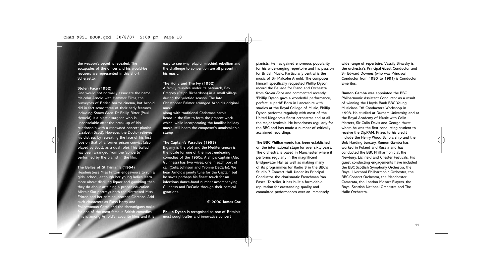the weapon's secret is revealed. The escapades of the officer and his would-be rescuers are represented in this short Scherzetto.

#### **Stolen Face (1952)**

One would not normally associate the name Malcolm Arnold with Hammer Films, the purveyors of British horror cinema, but Arnold did in fact score three of their early features, including *Stolen Face*. Dr Philip Ritter (Paul Henreid) is a plastic surgeon who is unconsolable after the break-up of his relationship with a renowned concert pianist (Lizabeth Scott). However, the Doctor relieves his distress by recreating the face of his lost love on that of a former prison convict (also played by Scott, as a dual role). This ballad has been arranged from the 'concerto' performed by the pianist in the film.

**The Belles of St Trinian's (1954)** Headmistress Miss Fritton endeavours to run a girls' school, although her young ladies learn more about distilling liquor and gambling than they do about attaining a proper education. Alistair Sim portrays both the distressed Miss Fritton and her criminal brother, Clarence. Add such characters as Flash Harry and

Policewoman Gates and the shenanigans make one of the most famous British comedies. his is among Arnold's favourite films and it is  $\blacksquare$  easy to see why; playful mischief, rebellion and the challenge to convention are all present in his music.

#### **The Holly and The Ivy (1952)**

A family reunites under its patriarch, Rev Gregory (Ralph Richardson) in a small village during the yuletide season. The late Christopher Palmer arranged Arnold's original music

along with traditional Christmas carols heard in the film to form the present work which, while incorporating the familiar holiday music, still bears the composer's unmistakable stamp.

#### **The Captain's Paradise (1953)**

Bigamy is the plot and the Mediterranean is the locale for one of the most endearing comedies of the 1950s. A ship's captain (Alec Guinness) has two wives, one in each port of call (Celia Johnson and Yvonne DeCarlo). We hear Arnold's jaunty tune for the Captain but he saves perhaps his finest touch for an infectious dance-band number accompanying Guinness and DeCarlo through their comical gyrations.

#### **© 2000 James Cox**

**Phillip Dyson** is recognised as one of Britain's most sought-after and innovative concert

pianists. He has gained enormous popularity for his wide-ranging repertoire and his passion for British Music. Particularly central is the music of Sir Malcolm Arnold. The composer himself specifically requested Phillip Dyson record the Ballade for Piano and Orchestra from *Stolen Face* and commented recently: 'Phillip Dyson gave a wonderful performance, perfect, superb!' Born in Lancashire with studies at the Royal College of Music, Phillip Dyson performs regularly with most of the United Kingdom's finest orchestras and at all the major festivals. He broadcasts regularly for the BBC and has made a number of critically acclaimed recordings.

The **BBC Philharmonic** has been established on the international stage for over sixty years. The orchestra is based in Manchester where it performs regularly in the magnificent Bridgewater Hall as well as making many of its programmes for Radio 3 in the BBC's Studio 7 Concert Hall. Under its Principal Conductor, the charismatic Frenchman Yan Pascal Tortelier, it has built a formidable reputation for outstanding quality and committed performances over an immensely

wide range of repertoire. Vassily Sinaisky is the orchestra's Principal Guest Conductor and Sir Edward Downes (who was Principal Conductor from 1980 to 1991) is Conductor Emeritus.

**Rumon Gamba** was appointed the BBC Philharmonic Assistant Conductor as a result of winning the Lloyds Bank BBC Young Musicians '98 Conductors Workshop in 1998. He studied at Durham University, and at the Royal Academy of Music with Colin Metters, Sir Colin Davis and George Hurst where he was the first conducting student to receive the DipRAM. Prizes to his credit include the Henry Wood Scholarship and the Bob Harding bursary. Rumon Gamba has worked in Poland and Russia and has conducted the BBC Philharmonic at the Newbury, Lichfield and Chester Festivals. His guest conducting engagements have included the BBC Scottish Symphony Orchestra, the Royal Liverpool Philharmonic Orchestra, the BBC Concert Orchestra, the Manchester Camerata, the London Mozart Players, the Royal Scottish National Orchestra and The Hallé Orchestra.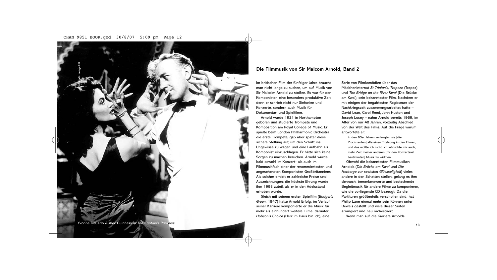

# **Die Filmmusik von Sir Malcom Arnold, Band 2**

Im britischen Film der fünfziger Jahre braucht man nicht lange zu suchen, um auf Musik von Sir Malcolm Arnold zu stoßen. Es war für den Komponisten eine besonders produktive Zeit, denn er schrieb nicht nur Sinfonien und Konzerte, sondern auch Musik für Dokumentar- und Spielfilme.

Arnold wurde 1921 in Northampton geboren und studierte Trompete und Komposition am Royal College of Music. Er spielte beim London Philharmonic Orchestra die erste Trompete, gab aber später diese sichere Stellung auf, um den Schritt ins Ungewisse zu wagen und eine Laufbahn als Komponist einzuschlagen. Er hätte sich keine Sorgen zu machen brauchen. Arnold wurde bald sowohl im Konzert- als auch im Filmmusikfach einer der renommiertesten und angesehensten Komponisten Großbritanniens. Als solcher erhielt er zahlreiche Preise und Auszeichnungen; die höchste Ehrung wurde ihm 1993 zuteil, als er in den Adelsstand erhoben wurde.

Gleich mit seinem ersten Spielfilm (*Badger's Green*, 1947) hatte Arnold Erfolg; im Verlauf seiner Karriere komponierte er die Musik für mehr als einhundert weitere Filme, darunter *Hobson's Choice* (Herr im Haus bin ich), eine

Serie von Filmkomödien über das Mädcheninternat *St Trinian's, Trapeze* (Trapez) und *The Bridge on the River Kwai* (Die Brücke am Kwai), sein bekanntester Film. Nachdem er mit einigen der begabtesten Regisseure der Nachkriegszeit zusammengearbeitet hatte – David Lean, Carol Reed, John Huston und Joseph Losey – nahm Arnold bereits 1969, im Alter von nur 48 Jahren, vorzeitig Abschied von der Welt des Films. Auf die Frage warum antwortete er:

In den 60er Jahren verlangten sie [die Produzenten] alle einen Titelsong in den Filmen, und das wollte ich nicht. Ich wünschte mir auch, mehr Zeit meiner anderen [für den Konzertsaal bestimmten] Musik zu widmen.

Obwohl die bekanntesten Filmmusiken Arnolds (*Die Brücke am Kwai* und *Die Herberge zur sechsten Glückseligkeit*) vieles andere in den Schatten stellen, gelang es ihm dennoch, bemerkenswerte und bestechende Begleitmusik für andere Filme zu komponieren, wie die vorliegende CD bezeugt. Da die Partituren größtenteils verschollen sind, hat Philip Lane einmal mehr sein Können unter Beweis gestellt und viele dieser Suiten arrangiert und neu orchestriert. Wenn man auf die Karriere Arnolds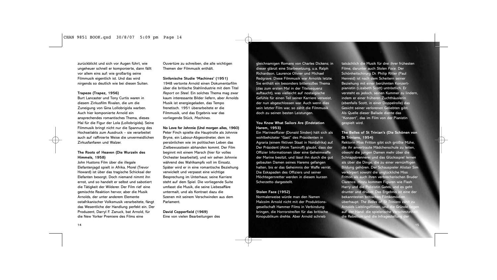zurückblickt und sich vor Augen führt, wie ungeheuer schnell er komponierte, dann fällt vor allem eins auf: wie großartig seine Filmmusik eigentlich ist. Und das wird nirgends so deutlich wie bei diesen Suiten.

#### **Trapeze (Trapez, 1956)**

Burt Lancaster und Tony Curtis waren in diesem Zirkusfilm Rivalen, die um die Zuneigung von Gina Lollobrigida warben. Auch hier komponierte Arnold ein ansprechendes romantisches Thema, dieses Mal für die Figur der Lola (Lollobrigida). Seine Filmmusik bringt nicht nur die Spannung des Hochseilakts zum Ausdruck – sie verarbeitet auch auf raffinierte Weise die unvermeidlichen Zirkusfanfaren und Walzer.

### **The Roots of Heaven (Die Wurzeln des Himmels, 1958)**

John Hustons Film über die illegale Elefantenjagd spielt in Afrika. Morel (Trevor Howard) ist über das tragische Schicksal der Elefanten besorgt. Doch niemand nimmt ihn ernst, und so handelt er selbst und sabotiert die Tätigkeit der Wilderer. Der Film rief eine gemischte Reaktion hervor, aber die Musik Arnolds, der unter anderem Elemente ostafrikanischer Volksmusik verarbeitete, fängt das Wesentliche der Handlung perfekt ein. Der Produzent, Darryl F. Zanuck, bat Arnold, für die New Yorker Premiere des Films eine

Ouvertüre zu schreiben, die alle wichtigen Themen der Filmmusik enthält.

**Sinfonische Studie 'Machines' (1951)** 1948 vertonte Arnold einen Dokumentarfilm über die britische Stahlindustrie mit dem Titel *Report on Steel*. Ein solches Thema mag zwar kaum interessante Bilder liefern, aber Arnolds Musik ist energiegeladen, das Tempo frenetisch. 1951 überarbeitete er die Filmmusik, und das Ergebnis war das vorliegende Stück, *Machines*.

**No Love for Johnnie (Und morgen alles, 1960)** Peter Finch spielte die Hauptrolle als Johnnie Bryne, ein Labour-Abgeordneter, dem im persönlichen wie im politischen Leben das Zielbewusstsein abhanden kommt. Der Film beginnt mit einem Marsch (hier für volles Orchester bearbeitet), und wir sehen Johnnie während des Wahlkampfs voll im Einsatz. Später wird er in eine romantische Beziehung verwickelt und verpasst eine wichtige Besprechung im Unterhaus; seine Karriere steht auf dem Spiel. Die vorliegende Suite umfasst die Musik, die seine Liebesaffäre untermalt, und als Kontrast dazu die Szenen mit seinem Verschwinden aus dem Parlament.

**David Copperfield (1969)** Eine von vielen Bearbeitungen des gleichnamigen Romans von Charles Dickens; in dieser glänzt eine Starbesetzung, u.a. Ralph Richardson, Laurence Olivier und Michael Redgrave. Diese Filmmusik war Arnolds letzte. Sie enthält ein besonders bittersüßes Thema (das zum ersten Mal in der Titelsequenz auftaucht), was vielleicht auf nostalgische Gefühle für einen Teil seiner Karriere verweist, der nun abgeschlossen war. Auch wenn dies sein letzter Film war, so zählt die Filmmusik doch zu seinen besten Leistungen.

### **You Know What Sailors Are (Endstation Harem, 1953)**

Ein Marineoffizier (Donald Sinden) hält sich als wohlbehüteter "Gast" des Präsidenten in Agraria (einem fiktiven Staat in Nordafrika) auf. Der Präsident (Akim Tamiroff) glaubt, dass der Offizier Informationen über eine Geheimwaffe der Marine besitzt, und lässt ihn durch die gut gebauten Damen seines Harems gefangen halten, bis er das Geheimnis der Waffe verrät. Die Eskapaden des Offiziers und seiner Möchtegernretter werden in diesem kurzen Scherzetto dargestellt.

### **Stolen Face (1952)**

Normalerweise würde man den Namen Malcolm Arnold nicht mit der Produktionsgesellschaft Hammer Films in Verbindung bringen, die Horrorstreifen für das britische Kinopublikum drehte. Aber Arnold schrieb

tatsächlich die Musik für drei ihrer frühesten Filme, darunter auch *Stolen Face*. Der Schönheitschirurg Dr. Philip Ritter (Paul Henreid) ist nach dem Scheitern seiner Beziehung mit einer berühmten Konzertpianistin (Lizabeth Scott) untröstlich. Er versteht es jedoch, seinen Kummer zu lindern, indem er einer früheren Zuchthäuslerin (ebenfalls Scott, in einer Doppelrolle) das Gesicht seiner verlorenen Geliebten gibt. Als Quelle dieser Ballade diente das "Konzert", das im Film von der Pianistin gespielt wird.

### **The Belles of St Trinian's (Die Schönen von St Trinians, 1954)**

Rektorin Miss Fritton gibt sich größte Mühe, die ihr anvertraute Mädchenschule zu leiten, obwohl die jungen Damen mehr über die Schnapsbrennerei und das Glücksspiel lernen als über die Dinge, die zu einer vernünftigen Bildung gehören. Der Schauspieler Alistair Sim verkörpert sowohl die unglückliche Miss Fritton als auch ihren verbrecherischen Bruder Clarence. Hinzu kommen Figuren wie Flash Harry und die Polizistin Gates, und es geht drunter und drüber. Das Ergebnis ist eine der bekanntesten britischen Filmkomödien überhaupt. *The Belles of St Trinians* zählt zu Arnolds Lieblingsfilmen, und die Gründe lie auf der Hand: die spielerische Verschmitzthe die Rebellion und die Infragestellung

14 and the contract of the contract of the contract of the contract of the contract of the contract of the contract of the contract of the contract of the contract of the contract of the contract of the contract of the con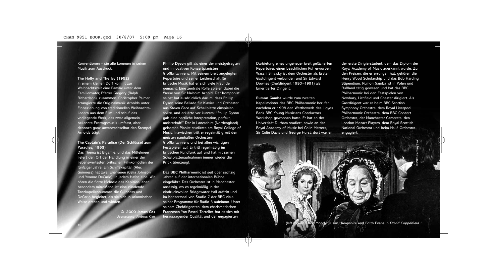Konventionen – sie alle kommen in seiner Musik zum Ausdruck.

# **The Holly and The Ivy (1952)** In einem kleinen Dorf kommt zur Weihnachtszeit eine Familie unter dem Familienvater, Pfarrer Gregory (Ralph Richardson), zusammen. Christopher Palmer arrangierte die Originalmusik Arnolds unter Einbeziehung von traditionellen Weihnachtsliedern aus dem Film und schuf das vorliegende Werk, das zwar allgemein bekannte Festtagsmusik umfasst, aber dennoch ganz unverwechselbar den Stempel Arnolds trägt.

### **The Captain's Paradise (Der Schlüssel zum Paradies, 1953)**

Das Thema ist Bigamie, und das Mittelmeer liefert den Ort der Handlung in einer der liebenswertesten britischen Filmkomödien der fünfziger Jahre. Ein Schiffskapitän (Alec Guinness) hat zwei Ehefrauen (Celia Johnson und Yvonne DeCarlo), in jedem Hafen eine. Wir hören die flotte Melodie des Kapitäns, aber besonders mitreißend ist eine zündende Tanzkapellennummer, die Guinness und DeCarlo begleitet, als sie sich in urkomischer Weise drehen und winden.

> **© 2000 James Cox** Übersetzung: Andreas Klatt

**Phillip Dyson** gilt als einer der meistgefragten und innovativen Konzertpianisten Großbritanniens. Mit seinem breit angelegten Repertoire und seiner Leidenschaft für britische Musik hat er sich viele Freunde gemacht. Eine zentrale Rolle spielen dabei die Werke von Sir Malcolm Arnold. Der Komponist selbst bat ausdrücklich darum, dass Phillip Dyson seine Ballade für Klavier und Orchester aus *Stolen Face* auf Schallplatte einspielen sollte, und erklärte vor kurzem: "Phillip Dyson gab eine herrliche Interpretation, perfekt, meisterhaft!" Der in Lancashire (Nordengland) geborene Pianist studierte am Royal College of Music. Inzwischen tritt er regelmäßig mit den meisten namhaften Orchestern Großbritanniens und bei allen wichtigen Festspielen auf. Er tritt regelmäßig im britischen Rundfunk auf und hat mit seinen Schallplattenaufnahmen immer wieder die Kritik überzeugt.

Das **BBC Philharmoni**c ist seit über sechzig Jahren auf der internationalen Bühne eingeführt. Das Orchester ist in Manchester ansässig, wo es regelmäßig in der eindrucksvollen Bridgewater Hall auftritt und im Konzertsaal von Studio 7 der BBC viele seiner Programme für Radio 3 aufnimmt. Unter seinem Chefdirigenten, dem charismatischen Franzosen Yan Pascal Tortelier, hat es sich mit herausragender Qualität und der engagierten

Darbietung eines ungeheuer breit gefächerten Repertoires einen beachtlichen Ruf erworben. Wassili Sinaisky ist dem Orchester als Erster Gastdirigent verbunden und Sir Edward Downes (Chefdirigent 1980–1991) als Emeritierter Dirigent.

**Rumon Gamba** wurde zum zweiten Kapellmeister des BBC Philharmonic berufen, nachdem er 1998 den Wettbewerb des Lloyds Bank BBC Young Musicians Conductors Workshop gewonnen hatte. Er hat an der Universität Durham studiert, sowie an der Royal Academy of Music bei Colin Metters, Sir Colin Davis und George Hurst; dort war er

der erste Dirigierstudent, dem das Diplom der Royal Academy of Music zuerkannt wurde. Zu den Preisen, die er errungen hat, gehören die Henry Wood Scholarship und das Bob Harding Stipendium. Rumon Gamba ist in Polen und Rußland tätig gewesen und hat das BBC Philharmonic bei den Festspielen von Newbury, Lichfield und Chester dirigiert. Als Gastdirigent war er beim BBC Scottish Symphony Orchestra, dem Royal Liverpool Philharmonic Orchestra, dem BBC Concert Orchestra, der Manchester Camerata, den London Mozart Players, dem Royal Scottish National Orchestra und beim Hallé Orchestra engagiert.

© 20th Century Fox

(Moody, Susan Hampshire and Edith Eva<u>ns in *David Copperfield*</u>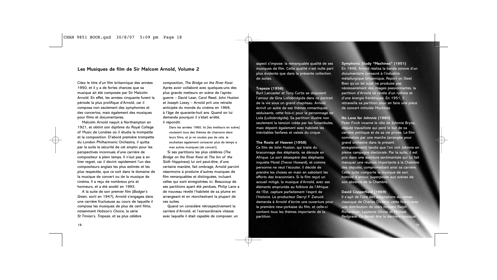# **Les Musiques de film de Sir Malcom Arnold, Volume 2**

Citez le titre d'un film britannique des années 1950, et il y a de fortes chances que sa musique ait été composée par Sir Malcolm Arnold. En effet, les années cinquante furent la période la plus prolifique d'Arnold, car il composa non seulement des symphonies et des concertos, mais également des musiques pour films et documentaires. Malcolm Arnold naquit à Northampton en

1921, et obtint son diplôme du Royal College of Music de Londres où il étudia la trompette et la composition. D'abord première trompette du London Philharmonic Orchestra, il quitta par la suite la sécurité de cet emploi pour les perspectives inconnues d'une carrière de compositeur à plein temps. Il n'eut pas à en tirer regret, car il devint rapidement l'un des compositeurs anglais les plus estimés et les plus respectés, que ce soit dans le domaine de la musique de concert ou de la musique de cinéma. Il a reçu de nombreux prix et honneurs, et a été anobli en 1993.

A la suite de son premier film (*Badger's Green*, sorti en 1947), Arnold s'engagea dans une carrière fructueuse au cours de laquelle il composa les musiques de plus de cent films, notamment *Hobson's Choice*, la série *St Trinian's*, *Trapeze*, et sa plus célèbre

composition, *The Bridge on the River Kwai*. Après avoir collaboré avec quelques-uns des plus grands metteurs en scène de l'aprèsguerre – David Lean, Carol Reed, John Huston et Joseph Losey – Arnold prit une retraite anticipée du monde du cinéma en 1969, à l'âge de quarante-huit ans. Quand on lui demanda pourquoi il s'était arrêté, il répondit:

Dans les années 1960, ils [les metteurs en scène] voulaient tous des thèmes de chansons dans leurs films, et je ne voulais pas de cela. Je souhaitais également consacrer plus de temps à mes autres musiques [de concert].

Si ses partitions les plus célèbres (*The Bridge on the River Kwai* et *The Inn of the Sixth Happiness*) lui ont peut-être, d'une certaine manière, fait ombrage, Arnold parvint néanmoins à produire d'autres musiques de film remarquables et distinguées, incluant celles qui sont enregistrées ici. Beaucoup de ses partitions ayant été perdues, Philip Lane a de nouveau révélé l'habileté de sa plume en arrangeant et en réorchestrant la plupart de ces suites.

Quand on considère rétrospectivement la carrière d'Arnold, et l'extraordinaire vitesse avec laquelle il était capable de composer, un aspect s'impose: la remarquable qualité de ses musiques de film. Cette qualité n'est nulle part plus évidente que dans la présente collection de suites.

#### **Trapeze (1956)**

Burt Lancaster et Tony Curtis se disputent l'amour de Gina Lollobridgida dans ce portrait de la vie sous un grand chapiteau. Arnold écrivit un autre de ses thèmes romantiques séduisants, cette fois-ci pour le personnage de Lola (Lollobridgida). Sa partition illustre non seulement la tension créée par les funambules, mais dépeint également avec habileté les inévitables fanfares et valses du cirque.

#### **The Roots of Heaven (1958)**

Ce film de John Huston, qui traite du braconnage des éléphants, se déroule en Afrique. Le sort désespéré des éléphants inquiète Morel (Trevor Howard), et comme personne ne veut l'écouter, il décide de prendre les choses en main en sabotant les efforts des braconniers. Si le film reçut un accueil mitigé, la musique d'Arnold, avec ses éléments empruntés au folklore de l'Afrique de l'Est, capture parfaitement l'esprit de l'histoire. Le producteur Darryl F. Zanuck demanda à Arnold d'écrire une ouverture pour la première new-yorkaise du film, et celle-ci contient tous les thèmes importants de la partition.

**Symphonic Study "Machines" (1951)** En 1948, Arnold réalisa la bande sonore d'un documentaire consacré à l'industrie métallurgique britannique, *Report on Steel.* Bien qu'un tel sujet ne produise pas nécessairement des images passionnantes, la partition d'Arnold se révèle d'un rythme et d'une énergie frénétiques. En 1951, il retravailla sa partition pour en faire une pièce de concert intitulée *Machines.*

### **No Love for Johnnie (1960)**

Peter Finch incarne le rôle de Johnnie Bryne, député travailliste qui perd le but de sa carrière politique et de sa vie privée. Le film commence par une marche (arrangée pour grand orchestre dans le présent enregistrement) tandis que l'on voit Johnnie en pleine campagne électorale. Par la suite, il est pris dans une aventure sentimentale qui lui fait manquer une réunion importante à la Chambre des députés, compromettant ainsi sa carrière. Cette suite comporte la musique de son histoire d'amour, superposée aux scènes de son absence de la Chambre.

# **David Copperfield (1969)**

Il s'agit de l'une des adaptations du roman classique de Charles Dickens, cette fois-ci avec une distribution de stars incluant Ralph Richardson, Laurence Olivier et Michael Redgrave. Ce devait être la dernière m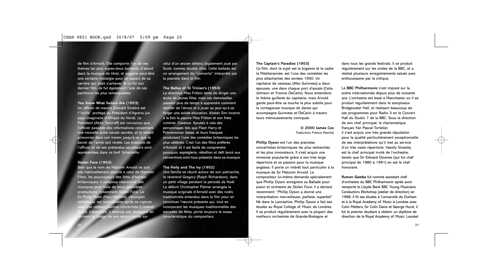de film d'Arnold. Elle comporte l'un de ses thèmes les plus aigres-doux (entendu d'abord dans la musique de titre), et suggère peut-être une certaine nostalgie pour un aspect de sa carrière qui allait s'achever. Si ce fut son dernier film, ce fut également l'une de ses partitions les plus remarquables.

**You Know What Sailors Are (1953)** Un officier de marine (Donald Sinden) est l'"invité" protégé du Président d'Agraria (un pays imaginaire d'Afrique du Nord). Le Président (Akim Tamiroff) est convaincu que l'officier possède des informations concernant une nouvelle arme navale secrète, et le retient prisonnier dans son harem jusqu'à ce que le secret de l'arme soit révélé. Les évasions de l'officier et de ses prétendus sauveteurs sont représentées dans ce bref Scherzetto.

#### **Stolen Face (1952)**

Bien que le nom de Malcolm Arnold ne soit pas habituellement associé à celui de Hammer Films, les pourvoyeurs des films d'horreur britanniques, il composa néanmoins des musiques pour trois de leurs premières productions, notamment *Stolen Face*. Le Dr Philip Ritter (Paul Henried), chirurgien est inconsolable après sa rupture une célèbre pianiste concertiste (Lizabeth Scott). Cependant, il atténue son désespoir en recréant le visage de son amour perd**u sur**<br>Créant le visage de son amour perd**u sur** 

celui d'un ancien détenu (également joué par Scott, comme double rôle). Cette ballade est un arrangement du "concerto" interprété par la pianiste dans le film.

**The Belles of St Trinian's (1954)** La directrice Miss Fritton tente de diriger une école de jeunes filles, mais ces demoiselles passent plus de temps à apprendre comment distiller de l'alcool et à jouer au jeux qu'à se forger une solide éducation. Alistair Sim incarne à la fois la pauvre Miss Fritton et son frère criminel, Clarence. Ajoutez à cela des personnages tels que Flash Harry et Policewoman Gates, et leurs frasques produisent l'une des comédies britanniques les plus célèbres. C'est l'un des films préférés d'Arnold, et il est facile de comprendre pourquoi; espièglerie, rébellion et défi lancé aux conventions sont tous présents dans sa musique.

### **The Holly and The Ivy (1952)**

Une famille se réunit autour de son patriarche, le révérend Gregory (Ralph Richardson), dans un petit village pendant la période de Noël. Le défunt Christopher Palmer arrangea la musique originale d'Arnold avec des noëls traditionnels entendus dans le film pour en constituer l'œuvre présente qui, tout en incorporant les musiques traditionnelles des périodes de fêtes, porte toujours le sceau caractéristique du compositeur.

#### **The Captain's Paradise (1953)**

Ce film, dont le sujet est la bigamie et le cadre la Méditerannée, est l'une des comédies les plus attachantes des années 1950. Un capitaine de vaisseau (Alec Guinness) a deux épouses, une dans chaque port d'escale (Celia Johnson et Yvonne DeCarlo). Nous entendons le thème guilleret du capitaine, mais Arnold garde peut-être sa touche la plus subtile pour la contagieuse musique de danse qui accompagne Guinness et DeCarlo à travers leurs trémoussements comiques.

#### **© 2000 James Cox** Traduction: Francis Marchal

**Phillip Dyson** est l'un des pianistes concertistes britanniques les plus recherchés et les plus innovateurs. Il s'est acquis une immense popularité grâce à son très large répertoire et sa passion pour la musique anglaise. Il porte un intérêt tout particulier à la musique de Sir Malcolm Arnold. Le compositeur lui-même demanda spécialement que Phillip Dyson enregistre sa Ballade pour piano et orchestre de *Stolen Face*; il a déclaré récemment: "Phillip Dyson a donné une interprétation merveilleuse, parfaite, superbe!" Né dans le Lancashire, Phillip Dyson a fait ses études au Royal College of Music de Londres. Il se produit régulièrement avec la plupart des meilleurs orchestres de Grande-Bretagne et

dans tous les grands festivals. Il se produit régulièrement sur les ondes de la BBC, et a réalisé plusieurs enregistrements salués avec enthousiasme par la critique.

Le **BBC Philharmonic** s'est imposé sur la scène internationale depuis plus de soixante ans. L'orchestre est basé à Manchester où il se produit régulièrement dans le somptueux Bridgewater Hall, et réalisant beaucoup de ses programmes pour Radio 3 en le Concert Hall du Studio 7 de la BBC. Sous la direction de son chef principal, le charismatique français Yan Pascal Tortelier, il s'est acquis une très grande réputation pour la qualité particulièrement exceptionnelle de ses interprétations qu'il met au service d'un très vaste répertoire. Vassily Sinaisky est le chef principal invité de l'orchestre, tandis que Sir Edward Downes (qui fut chef principal de 1980 à 1991) en est le chef honoraire.

**Rumon Gamba** fut nommé assistant chef d'orchestre du BBC Philharmonic après avoir remporté le Lloyds Bank BBC Young Musicians Conductors Workshop [atelier de direction] en 1998. Il fit ses études à l'université de Durham et à la Royal Academy of Music à Londres avec Colin Metters, Sir Colin Davis et George Hurst; il fut le premier étudiant à obtenir un diplôme de direction de la Royal Academy of Music. Lauréat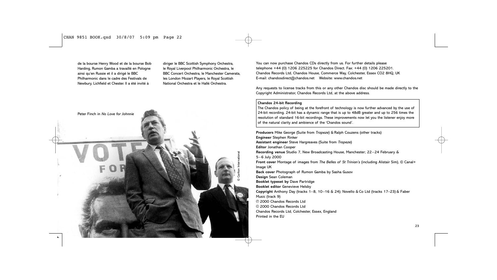de la bourse Henry Wood et de la bourse Bob Harding, Rumon Gamba a travaillé en Pologne ainsi qu'en Russie et il a dirigé le BBC Philharmonic dans le cadre des Festivals de Newbury, Lichfield et Chester. Il a été invité à

diriger le BBC Scottish Symphony Orchestra, le Royal Liverpool Philharmonic Orchestra, le BBC Concert Orchestra, le Manchester Camerata, les London Mozart Players, le Royal Scottish National Orchestra et le Hallé Orchestra.



You can now purchase Chandos CDs directly from us. For further details please telephone +44 (0) 1206 225225 for Chandos Direct. Fax: +44 (0) 1206 225201. Chandos Records Ltd, Chandos House, Commerce Way, Colchester, Essex CO2 8HQ, UK E-mail: chandosdirect@chandos.net Website: www.chandos.net

Any requests to license tracks from this or any other Chandos disc should be made directly to the Copyright Administrator, Chandos Records Ltd, at the above address.

#### **Chandos 24-bit Recording**

The Chandos policy of being at the forefront of technology is now further advanced by the use of 24-bit recording. 24-bit has a dynamic range that is up to 48dB greater and up to 256 times the resolution of standard 16-bit recordings. These improvements now let you the listener enjoy more of the natural clarity and ambience of the 'Chandos sound'.

**Producers** Mike George (Suite from *Trapeze*) & Ralph Couzens (other tracks) **Engineer** Stephen Rinker **Assistant engineer** Steve Hargreaves (Suite from *Trapeze*) **Editor** Jonathan Cooper **Recording venue** Studio 7, New Broadcasting House, Manchester; 22–24 February & 5–6 July 2000 **Front cover** Montage of images from *The Belles of St Trinian's* (including Alistair Sim), © Canal+ Image UK **Back cover** Photograph of Rumon Gamba by Sasha Gusov **Design** Sean Coleman **Booklet typeset by** Dave Partridge **Booklet editor** Genevieve Helsby **Copyright** Anthony Day (tracks 1–8, 10–16 & 24); Novello & Co Ltd (tracks 17–23) & Faber Music (track 9) p 2000 Chandos Records Ltd © 2000 Chandos Records Ltd Chandos Records Ltd, Colchester, Essex, England Printed in the EU

23